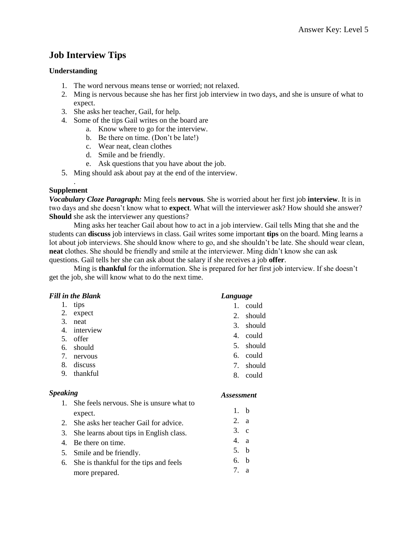# **Job Interview Tips**

# **Understanding**

- 1. The word nervous means tense or worried; not relaxed.
- 2. Ming is nervous because she has her first job interview in two days, and she is unsure of what to expect.
- 3. She asks her teacher, Gail, for help.
- 4. Some of the tips Gail writes on the board are
	- a. Know where to go for the interview.
		- b. Be there on time. (Don't be late!)
	- c. Wear neat, clean clothes
	- d. Smile and be friendly.
	- e. Ask questions that you have about the job.
- 5. Ming should ask about pay at the end of the interview.

#### . **Supplement**

*Vocabulary Cloze Paragraph:* Ming feels **nervous**. She is worried about her first job **interview**. It is in two days and she doesn't know what to **expect**. What will the interviewer ask? How should she answer? **Should** she ask the interviewer any questions?

Ming asks her teacher Gail about how to act in a job interview. Gail tells Ming that she and the students can **discuss** job interviews in class. Gail writes some important **tips** on the board. Ming learns a lot about job interviews. She should know where to go, and she shouldn't be late. She should wear clean, **neat** clothes. She should be friendly and smile at the interviewer. Ming didn't know she can ask questions. Gail tells her she can ask about the salary if she receives a job **offer**.

Ming is **thankful** for the information. She is prepared for her first job interview. If she doesn't get the job, she will know what to do the next time.

#### *Fill in the Blank*

- 1. tips
- 2. expect
- 3. neat
- 4. interview
- 5. offer
- 6. should
- 7. nervous
- 8. discuss 9. thankful

## *Speaking*

- 1. She feels nervous. She is unsure what to expect.
- 2. She asks her teacher Gail for advice.
- 3. She learns about tips in English class.
- 4. Be there on time.
- 5. Smile and be friendly.
- 6. She is thankful for the tips and feels more prepared.

## *Language*

- 1. could
- 2. should
- 3. should
- 4. could
- 5. should
- 6. could
- 7. should
- 8. could

- 1. b
- 2. a
- 3. c
- 4. a
- 5. b
- 6. b
- 7. a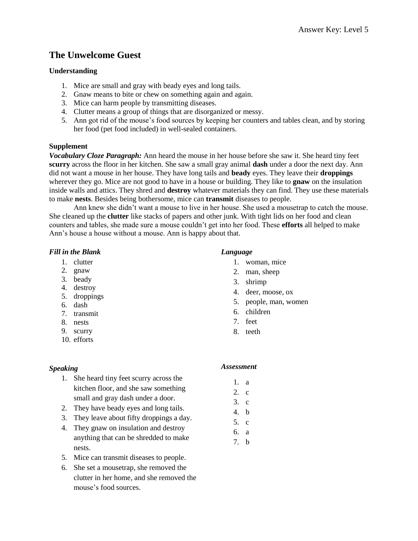# **The Unwelcome Guest**

#### **Understanding**

- 1. Mice are small and gray with beady eyes and long tails.
- 2. Gnaw means to bite or chew on something again and again.
- 3. Mice can harm people by transmitting diseases.
- 4. Clutter means a group of things that are disorganized or messy.
- 5. Ann got rid of the mouse's food sources by keeping her counters and tables clean, and by storing her food (pet food included) in well-sealed containers.

#### **Supplement**

*Vocabulary Cloze Paragraph:* Ann heard the mouse in her house before she saw it. She heard tiny feet **scurry** across the floor in her kitchen. She saw a small gray animal **dash** under a door the next day. Ann did not want a mouse in her house. They have long tails and **beady** eyes. They leave their **droppings** wherever they go. Mice are not good to have in a house or building. They like to **gnaw** on the insulation inside walls and attics. They shred and **destroy** whatever materials they can find. They use these materials to make **nests**. Besides being bothersome, mice can **transmit** diseases to people.

Ann knew she didn't want a mouse to live in her house. She used a mousetrap to catch the mouse. She cleaned up the **clutter** like stacks of papers and other junk. With tight lids on her food and clean counters and tables, she made sure a mouse couldn't get into her food. These **efforts** all helped to make Ann's house a house without a mouse. Ann is happy about that.

#### *Fill in the Blank*

- 1. clutter
- 2. gnaw
- 3. beady
- 4. destroy
- 5. droppings
- 6. dash
- 7. transmit
- 8. nests
- 9. scurry
- 10. efforts

#### *Language*

- 1. woman, mice
- 2. man, sheep
- 3. shrimp
- 4. deer, moose, ox
- 5. people, man, women
- 6. children
- 7. feet
- 8. teeth

#### *Speaking*

- 1. She heard tiny feet scurry across the kitchen floor, and she saw something small and gray dash under a door.
- 2. They have beady eyes and long tails.
- 3. They leave about fifty droppings a day.
- 4. They gnaw on insulation and destroy anything that can be shredded to make nests.
- 5. Mice can transmit diseases to people.
- 6. She set a mousetrap, she removed the clutter in her home, and she removed the mouse's food sources.

- 1. a
- 2. c
- 3. c
- 4. b
- 5. c
- 6. a
- 7. b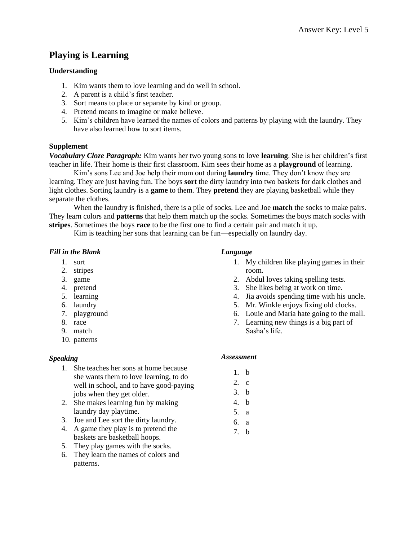# **Playing is Learning**

## **Understanding**

- 1. Kim wants them to love learning and do well in school.
- 2. A parent is a child's first teacher.
- 3. Sort means to place or separate by kind or group.
- 4. Pretend means to imagine or make believe.
- 5. Kim's children have learned the names of colors and patterns by playing with the laundry. They have also learned how to sort items.

## **Supplement**

*Vocabulary Cloze Paragraph:* Kim wants her two young sons to love **learning**. She is her children's first teacher in life. Their home is their first classroom. Kim sees their home as a **playground** of learning.

Kim's sons Lee and Joe help their mom out during **laundry** time. They don't know they are learning. They are just having fun. The boys **sort** the dirty laundry into two baskets for dark clothes and light clothes. Sorting laundry is a **game** to them. They **pretend** they are playing basketball while they separate the clothes.

When the laundry is finished, there is a pile of socks. Lee and Joe **match** the socks to make pairs. They learn colors and **patterns** that help them match up the socks. Sometimes the boys match socks with **stripes**. Sometimes the boys **race** to be the first one to find a certain pair and match it up.

Kim is teaching her sons that learning can be fun—especially on laundry day.

#### *Fill in the Blank*

- 1. sort
- 2. stripes
- 3. game
- 4. pretend
- 5. learning
- 6. laundry
- 7. playground
- 8. race
- 9. match
- 10. patterns

## *Speaking*

- 1. She teaches her sons at home because she wants them to love learning, to do well in school, and to have good-paying jobs when they get older.
- 2. She makes learning fun by making laundry day playtime.
- 3. Joe and Lee sort the dirty laundry.
- 4. A game they play is to pretend the baskets are basketball hoops.
- 5. They play games with the socks.
- 6. They learn the names of colors and patterns.

#### *Language*

- 1. My children like playing games in their room.
- 2. Abdul loves taking spelling tests.
- 3. She likes being at work on time.
- 4. Jia avoids spending time with his uncle.
- 5. Mr. Winkle enjoys fixing old clocks.
- 6. Louie and Maria hate going to the mall.
- 7. Learning new things is a big part of Sasha's life.

- 1. b
- 2. c
- 3. b
- 4. b
- 5. a
- 6. a
- 7. b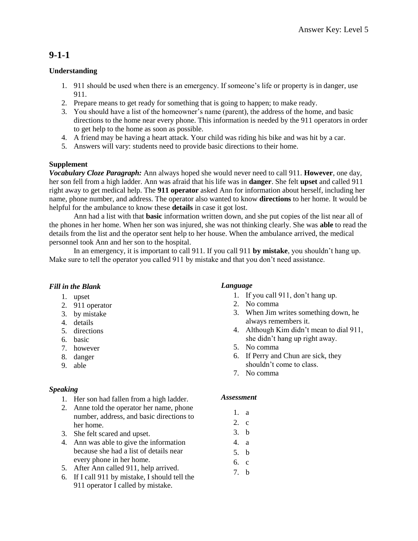# **9-1-1**

# **Understanding**

- 1. 911 should be used when there is an emergency. If someone's life or property is in danger, use 911.
- 2. Prepare means to get ready for something that is going to happen; to make ready.
- 3. You should have a list of the homeowner's name (parent), the address of the home, and basic directions to the home near every phone. This information is needed by the 911 operators in order to get help to the home as soon as possible.
- 4. A friend may be having a heart attack. Your child was riding his bike and was hit by a car.
- 5. Answers will vary: students need to provide basic directions to their home.

# **Supplement**

*Vocabulary Cloze Paragraph:* Ann always hoped she would never need to call 911. **However**, one day, her son fell from a high ladder. Ann was afraid that his life was in **danger**. She felt **upset** and called 911 right away to get medical help. The **911 operator** asked Ann for information about herself, including her name, phone number, and address. The operator also wanted to know **directions** to her home. It would be helpful for the ambulance to know these **details** in case it got lost.

Ann had a list with that **basic** information written down, and she put copies of the list near all of the phones in her home. When her son was injured, she was not thinking clearly. She was **able** to read the details from the list and the operator sent help to her house. When the ambulance arrived, the medical personnel took Ann and her son to the hospital.

In an emergency, it is important to call 911. If you call 911 **by mistake**, you shouldn't hang up. Make sure to tell the operator you called 911 by mistake and that you don't need assistance.

## *Fill in the Blank*

- 1. upset
- 2. 911 operator
- 3. by mistake
- 4. details
- 5. directions
- 6. basic
- 7. however
- 8. danger
- 9. able

## *Speaking*

- 1. Her son had fallen from a high ladder.
- 2. Anne told the operator her name, phone number, address, and basic directions to her home.
- 3. She felt scared and upset.
- 4. Ann was able to give the information because she had a list of details near every phone in her home.
- 5. After Ann called 911, help arrived.
- 6. If I call 911 by mistake, I should tell the 911 operator I called by mistake.

# *Language*

- 1. If you call 911, don't hang up.
- 2. No comma
- 3. When Jim writes something down, he always remembers it.
- 4. Although Kim didn't mean to dial 911, she didn't hang up right away.
- 5. No comma
- 6. If Perry and Chun are sick, they shouldn't come to class.
- 7. No comma

- 1. a
- 2. c
- 3. b
- 4. a
- 5. b
- 6. c
- 7. b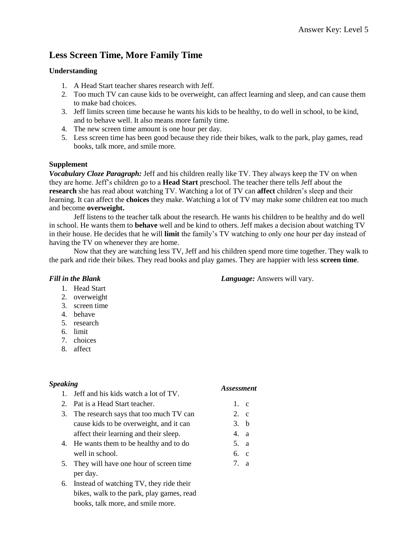# **Less Screen Time, More Family Time**

#### **Understanding**

- 1. A Head Start teacher shares research with Jeff.
- 2. Too much TV can cause kids to be overweight, can affect learning and sleep, and can cause them to make bad choices.
- 3. Jeff limits screen time because he wants his kids to be healthy, to do well in school, to be kind, and to behave well. It also means more family time.
- 4. The new screen time amount is one hour per day.
- 5. Less screen time has been good because they ride their bikes, walk to the park, play games, read books, talk more, and smile more.

#### **Supplement**

*Vocabulary Cloze Paragraph:* Jeff and his children really like TV. They always keep the TV on when they are home. Jeff's children go to a **Head Start** preschool. The teacher there tells Jeff about the **research** she has read about watching TV. Watching a lot of TV can **affect** children's sleep and their learning. It can affect the **choices** they make. Watching a lot of TV may make some children eat too much and become **overweight.**

Jeff listens to the teacher talk about the research. He wants his children to be healthy and do well in school. He wants them to **behave** well and be kind to others. Jeff makes a decision about watching TV in their house. He decides that he will **limit** the family's TV watching to only one hour per day instead of having the TV on whenever they are home.

Now that they are watching less TV, Jeff and his children spend more time together. They walk to the park and ride their bikes. They read books and play games. They are happier with less **screen time**.

## *Fill in the Blank*

*Language:* Answers will vary.

- 1. Head Start
- 2. overweight
- 3. screen time
- 4. behave
- 5. research
- 6. limit
- 7. choices
- 8. affect

## *Speaking*

#### *Assessment*

1. c 2. c 3. b 4. a 5. a 6. c 7. a

- 1. Jeff and his kids watch a lot of TV. 2. Pat is a Head Start teacher.
- 3. The research says that too much TV can cause kids to be overweight, and it can affect their learning and their sleep.
- 4. He wants them to be healthy and to do well in school.
- 5. They will have one hour of screen time per day.
- 6. Instead of watching TV, they ride their bikes, walk to the park, play games, read books, talk more, and smile more.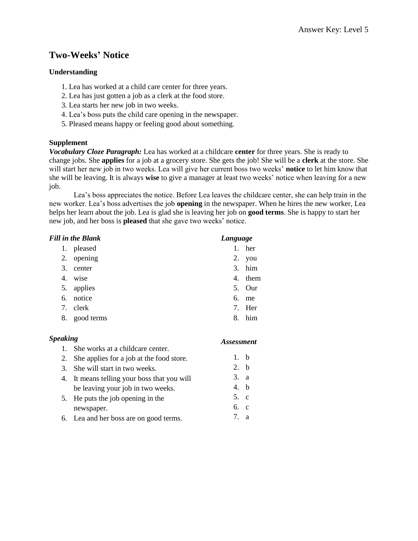# **Two-Weeks' Notice**

#### **Understanding**

- 1. Lea has worked at a child care center for three years.
- 2. Lea has just gotten a job as a clerk at the food store.
- 3. Lea starts her new job in two weeks.
- 4. Lea's boss puts the child care opening in the newspaper.
- 5. Pleased means happy or feeling good about something.

#### **Supplement**

*Vocabulary Cloze Paragraph:* Lea has worked at a childcare **center** for three years. She is ready to change jobs. She **applies** for a job at a grocery store. She gets the job! She will be a **clerk** at the store. She will start her new job in two weeks. Lea will give her current boss two weeks' **notice** to let him know that she will be leaving. It is always **wise** to give a manager at least two weeks' notice when leaving for a new job.

Lea's boss appreciates the notice. Before Lea leaves the childcare center, she can help train in the new worker. Lea's boss advertises the job **opening** in the newspaper. When he hires the new worker, Lea helps her learn about the job. Lea is glad she is leaving her job on **good terms**. She is happy to start her new job, and her boss is **pleased** that she gave two weeks' notice.

*Assessment*

| <b>Fill in the Blank</b> |            |                                  | Language |  |
|--------------------------|------------|----------------------------------|----------|--|
| 1.                       | pleased    | 1.                               | her      |  |
| 2.                       | opening    | 2.                               | you      |  |
| 3.                       | center     |                                  | $3.$ him |  |
| 4.                       | wise       | 4.                               | them     |  |
| 5.                       | applies    | 5.                               | Our      |  |
| 6.                       | notice     | 6.                               | me       |  |
| 7.                       | clerk      | $7_{\scriptscriptstyle{\ddots}}$ | Her      |  |
| 8.                       | good terms | 8                                | him      |  |
|                          |            |                                  |          |  |

#### *Speaking*

| 1. She works at a childcare center.         |      |  |
|---------------------------------------------|------|--|
| 2. She applies for a job at the food store. | 1. b |  |
| 3. She will start in two weeks.             | 2. b |  |
| 4. It means telling your boss that you will | 3. a |  |
| be leaving your job in two weeks.           | 4. b |  |
| 5. He puts the job opening in the           | 5. c |  |
| newspaper.                                  | 6. c |  |
| 6. Lea and her boss are on good terms.      | 7. a |  |
|                                             |      |  |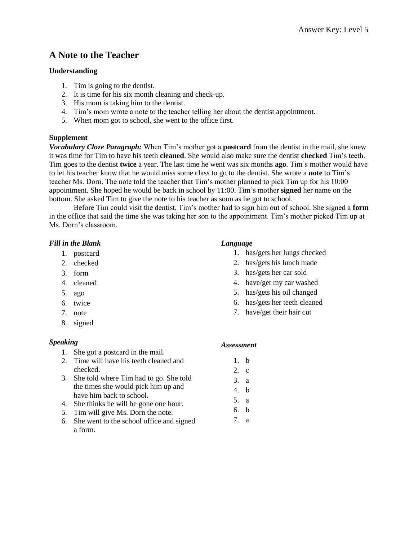# **A Note to the Teacher**

#### **Understanding**

- 1. Tim is going to the dentist.
- 2. It is time for his six month cleaning and check-up.
- 3. His mom is taking him to the dentist.
- 4. Tim's mom wrote a note to the teacher telling her about the dentist appointment.
- 5. When mom got to school, she went to the office first.

#### **Supplement**

*Vocabulary Cloze Paragraph:* When Tim's mother got a **postcard** from the dentist in the mail, she knew it was time for Tim to have his teeth **cleaned**. She would also make sure the dentist **checked** Tim's teeth. Tim goes to the dentist **twice** a year. The last time he went was six months **ago**. Tim's mother would have to let his teacher know that he would miss some class to go to the dentist. She wrote a **note** to Tim's teacher Ms. Dorn. The note told the teacher that Tim's mother planned to pick Tim up for his 10:00 appointment. She hoped he would be back in school by 11:00. Tim's mother **signed** her name on the bottom. She asked Tim to give the note to his teacher as soon as he got to school.

Before Tim could visit the dentist, Tim's mother had to sign him out of school. She signed a **form** in the office that said the time she was taking her son to the appointment. Tim's mother picked Tim up at Ms. Dorn's classroom.

#### *Fill in the Blank*

- 1. postcard
- 2. checked
- 3. form
- 4. cleaned
- 5. ago
- 6. twice
- 7. note
- 8. signed

## *Speaking*

- 1. She got a postcard in the mail.
- 2. Time will have his teeth cleaned and checked.
- 3. She told where Tim had to go. She told the times she would pick him up and have him back to school.
- 4. She thinks he will be gone one hour.
- 5. Tim will give Ms. Dorn the note.
- 6. She went to the school office and signed a form.

#### *Language*

- 1. has/gets her lungs checked
- 2. has/gets his lunch made
- 3. has/gets her car sold
- 4. have/get my car washed
- 5. has/gets his oil changed
- 6. has/gets her teeth cleaned
- 7. have/get their hair cut

#### *Assessment*

1. b 2. c 3. a 4. b 5. a 6. b 7. a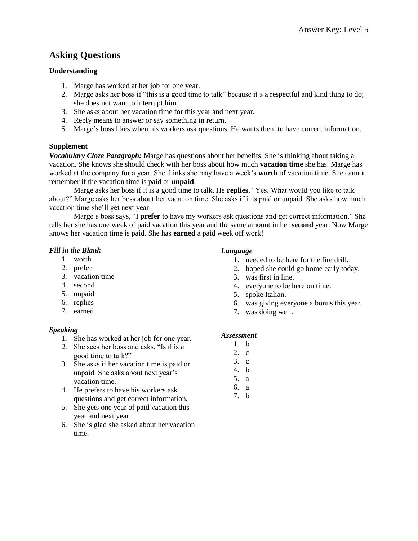# **Asking Questions**

# **Understanding**

- 1. Marge has worked at her job for one year.
- 2. Marge asks her boss if "this is a good time to talk" because it's a respectful and kind thing to do; she does not want to interrupt him.
- 3. She asks about her vacation time for this year and next year.
- 4. Reply means to answer or say something in return.
- 5. Marge's boss likes when his workers ask questions. He wants them to have correct information.

# **Supplement**

*Vocabulary Cloze Paragraph:* Marge has questions about her benefits. She is thinking about taking a vacation. She knows she should check with her boss about how much **vacation time** she has. Marge has worked at the company for a year. She thinks she may have a week's **worth** of vacation time. She cannot remember if the vacation time is paid or **unpaid**.

Marge asks her boss if it is a good time to talk. He **replies**, "Yes. What would you like to talk about?" Marge asks her boss about her vacation time. She asks if it is paid or unpaid. She asks how much vacation time she'll get next year.

Marge's boss says, "I **prefer** to have my workers ask questions and get correct information." She tells her she has one week of paid vacation this year and the same amount in her **second** year. Now Marge knows her vacation time is paid. She has **earned** a paid week off work!

## *Fill in the Blank*

- 1. worth
- 2. prefer
- 3. vacation time
- 4. second
- 5. unpaid
- 6. replies
- 7. earned

## *Speaking*

- 1. She has worked at her job for one year.
- 2. She sees her boss and asks, "Is this a good time to talk?"
- 3. She asks if her vacation time is paid or unpaid. She asks about next year's vacation time.
- 4. He prefers to have his workers ask questions and get correct information.
- 5. She gets one year of paid vacation this year and next year.
- 6. She is glad she asked about her vacation time.

#### *Language*

- 1. needed to be here for the fire drill.
- 2. hoped she could go home early today.
- 3. was first in line.
- 4. everyone to be here on time.
- 5. spoke Italian.
- 6. was giving everyone a bonus this year.
- 7. was doing well.

- 1. b
- 2. c
- 3. c
- 4. b
- 5. a
- 6. a
- 7. b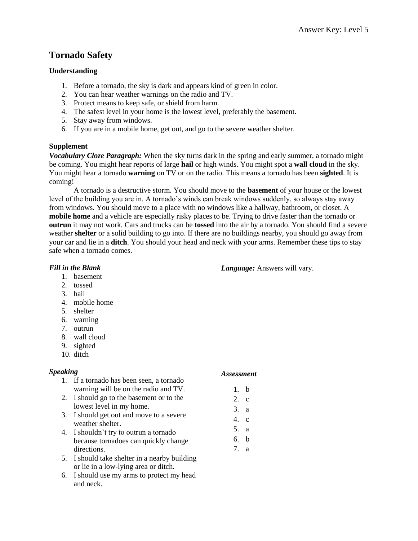# **Tornado Safety**

# **Understanding**

- 1. Before a tornado, the sky is dark and appears kind of green in color.
- 2. You can hear weather warnings on the radio and TV.
- 3. Protect means to keep safe, or shield from harm.
- 4. The safest level in your home is the lowest level, preferably the basement.
- 5. Stay away from windows.
- 6. If you are in a mobile home, get out, and go to the severe weather shelter.

# **Supplement**

*Vocabulary Cloze Paragraph:* When the sky turns dark in the spring and early summer, a tornado might be coming. You might hear reports of large **hail** or high winds. You might spot a **wall cloud** in the sky. You might hear a tornado **warning** on TV or on the radio. This means a tornado has been **sighted**. It is coming!

A tornado is a destructive storm. You should move to the **basement** of your house or the lowest level of the building you are in. A tornado's winds can break windows suddenly, so always stay away from windows. You should move to a place with no windows like a hallway, bathroom, or closet. A **mobile home** and a vehicle are especially risky places to be. Trying to drive faster than the tornado or **outrun** it may not work. Cars and trucks can be **tossed** into the air by a tornado. You should find a severe weather **shelter** or a solid building to go into. If there are no buildings nearby, you should go away from your car and lie in a **ditch**. You should your head and neck with your arms. Remember these tips to stay safe when a tornado comes.

# *Fill in the Blank*

- 1. basement
- 2. tossed
- 3. hail
- 4. mobile home
- 5. shelter
- 6. warning
- 7. outrun
- 8. wall cloud
- 9. sighted
- 10. ditch

## *Speaking*

- 1. If a tornado has been seen, a tornado warning will be on the radio and TV.
- 2. I should go to the basement or to the lowest level in my home.
- 3. I should get out and move to a severe weather shelter.
- 4. I shouldn't try to outrun a tornado because tornadoes can quickly change directions.
- 5. I should take shelter in a nearby building or lie in a low-lying area or ditch.
- 6. I should use my arms to protect my head and neck.

## *Assessment*

*Language:* Answers will vary.

- 1. b
- 2. c
- 3. a
- 4. c
- 5. a
- 6. b
- 7. a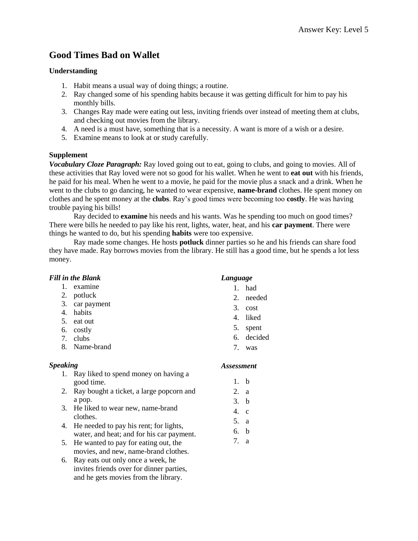# **Good Times Bad on Wallet**

## **Understanding**

- 1. Habit means a usual way of doing things; a routine.
- 2. Ray changed some of his spending habits because it was getting difficult for him to pay his monthly bills.
- 3. Changes Ray made were eating out less, inviting friends over instead of meeting them at clubs, and checking out movies from the library.
- 4. A need is a must have, something that is a necessity. A want is more of a wish or a desire.
- 5. Examine means to look at or study carefully.

#### **Supplement**

*Vocabulary Cloze Paragraph:* Ray loved going out to eat, going to clubs, and going to movies. All of these activities that Ray loved were not so good for his wallet. When he went to **eat out** with his friends, he paid for his meal. When he went to a movie, he paid for the movie plus a snack and a drink. When he went to the clubs to go dancing, he wanted to wear expensive, **name-brand** clothes. He spent money on clothes and he spent money at the **clubs**. Ray's good times were becoming too **costly**. He was having trouble paying his bills!

Ray decided to **examine** his needs and his wants. Was he spending too much on good times? There were bills he needed to pay like his rent, lights, water, heat, and his **car payment**. There were things he wanted to do, but his spending **habits** were too expensive.

Ray made some changes. He hosts **potluck** dinner parties so he and his friends can share food they have made. Ray borrows movies from the library. He still has a good time, but he spends a lot less money.

|  |  |  | <b>Fill in the Blank</b> |
|--|--|--|--------------------------|
|--|--|--|--------------------------|

- 1. examine
- 2. potluck
- 3. car payment
- 4. habits
- 5. eat out
- 6. costly
- 7. clubs
- 8. Name-brand

## *Speaking*

- 1. Ray liked to spend money on having a good time.
- 2. Ray bought a ticket, a large popcorn and a pop.
- 3. He liked to wear new, name-brand clothes.
- 4. He needed to pay his rent; for lights, water, and heat; and for his car payment.
- 5. He wanted to pay for eating out, the movies, and new, name-brand clothes.
- 6. Ray eats out only once a week, he invites friends over for dinner parties, and he gets movies from the library.

## *Language*

- 1. had
- 2. needed
- 3. cost
- 4. liked
- 5. spent
- 6. decided
- 7. was

- 1. b
- 2. a
- 3. b
- 4. c
- 5. a
- 6. b
- 7. a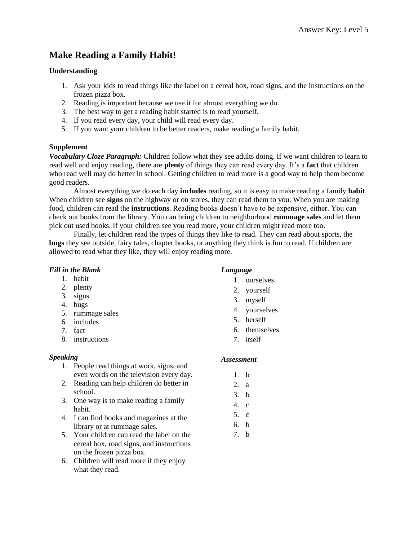# **Make Reading a Family Habit!**

## **Understanding**

- 1. Ask your kids to read things like the label on a cereal box, road signs, and the instructions on the frozen pizza box.
- 2. Reading is important because we use it for almost everything we do.
- 3. The best way to get a reading habit started is to read yourself.
- 4. If you read every day, your child will read every day.
- 5. If you want your children to be better readers, make reading a family habit.

# **Supplement**

*Vocabulary Cloze Paragraph:* Children follow what they see adults doing. If we want children to learn to read well and enjoy reading, there are **plenty** of things they can read every day. It's a **fact** that children who read well may do better in school. Getting children to read more is a good way to help them become good readers.

Almost everything we do each day **includes** reading, so it is easy to make reading a family **habit**. When children see **signs** on the highway or on stores, they can read them to you. When you are making food, children can read the **instructions**. Reading books doesn't have to be expensive, either. You can check out books from the library. You can bring children to neighborhood **rummage sales** and let them pick out used books. If your children see you read more, your children might read more too.

Finally, let children read the types of things they like to read. They can read about sports, the **bugs** they see outside, fairy tales, chapter books, or anything they think is fun to read. If children are allowed to read what they like, they will enjoy reading more.

# *Fill in the Blank*

- 1. habit
- 2. plenty
- 3. signs
- 4. bugs
- 5. rummage sales
- 6. includes
- 7. fact
- 8. instructions

# *Speaking*

- 1. People read things at work, signs, and even words on the television every day.
- 2. Reading can help children do better in school.
- 3. One way is to make reading a family habit.
- 4. I can find books and magazines at the library or at rummage sales.
- 5. Your children can read the label on the cereal box, road signs, and instructions on the frozen pizza box.
- 6. Children will read more if they enjoy what they read.

# *Language*

- 1. ourselves
- 2. yourself
- 3. myself
- 4. yourselves
- 5. herself
- 6. themselves
- 7. itself

- 1. b
- 2. a
- 3. b
- 4. c
- 5. c
- 6. b
- 7. b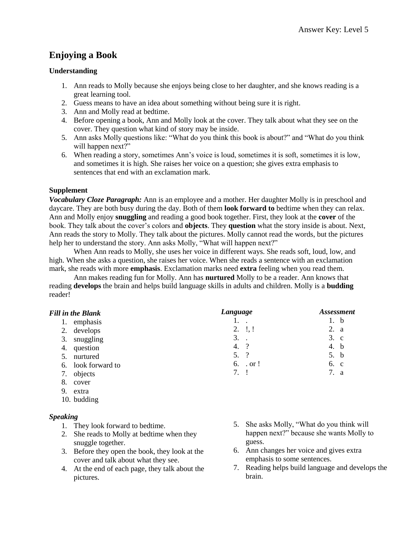# **Enjoying a Book**

## **Understanding**

- 1. Ann reads to Molly because she enjoys being close to her daughter, and she knows reading is a great learning tool.
- 2. Guess means to have an idea about something without being sure it is right.
- 3. Ann and Molly read at bedtime.
- 4. Before opening a book, Ann and Molly look at the cover. They talk about what they see on the cover. They question what kind of story may be inside.
- 5. Ann asks Molly questions like: "What do you think this book is about?" and "What do you think will happen next?"
- 6. When reading a story, sometimes Ann's voice is loud, sometimes it is soft, sometimes it is low, and sometimes it is high. She raises her voice on a question; she gives extra emphasis to sentences that end with an exclamation mark.

#### **Supplement**

*Vocabulary Cloze Paragraph:* Ann is an employee and a mother. Her daughter Molly is in preschool and daycare. They are both busy during the day. Both of them **look forward to** bedtime when they can relax. Ann and Molly enjoy **snuggling** and reading a good book together. First, they look at the **cover** of the book. They talk about the cover's colors and **objects**. They **question** what the story inside is about. Next, Ann reads the story to Molly. They talk about the pictures. Molly cannot read the words, but the pictures help her to understand the story. Ann asks Molly, "What will happen next?"

When Ann reads to Molly, she uses her voice in different ways. She reads soft, loud, low, and high. When she asks a question, she raises her voice. When she reads a sentence with an exclamation mark, she reads with more **emphasis**. Exclamation marks need **extra** feeling when you read them.

Ann makes reading fun for Molly. Ann has **nurtured** Molly to be a reader. Ann knows that reading **develops** the brain and helps build language skills in adults and children. Molly is a **budding** reader!

| <b>Fill in the Blank</b> | Language        | <b>Assessment</b> |  |
|--------------------------|-----------------|-------------------|--|
| emphasis                 |                 | 1. b              |  |
| 2. develops              | $2. \quad 1, 1$ | 2. a              |  |
| 3.<br>snuggling          | $3.$ .          | 3. c              |  |
| question<br>4.           | 4.?             | 4. b              |  |
| nurtured<br>5.           | 5. ?            | 5. b              |  |
| 6. look forward to       | $6.$ . or !     | 6. c              |  |
| objects<br>7.            | 7. 1            | 7. a              |  |
| 8.<br>cover              |                 |                   |  |
| $\sim$ $\sim$            |                 |                   |  |

9. extra 10. budding

## *Speaking*

- 1. They look forward to bedtime.
- 2. She reads to Molly at bedtime when they snuggle together.
- 3. Before they open the book, they look at the cover and talk about what they see.
- 4. At the end of each page, they talk about the pictures.
- 5. She asks Molly, "What do you think will happen next?" because she wants Molly to guess.
- 6. Ann changes her voice and gives extra emphasis to some sentences.
- 7. Reading helps build language and develops the brain.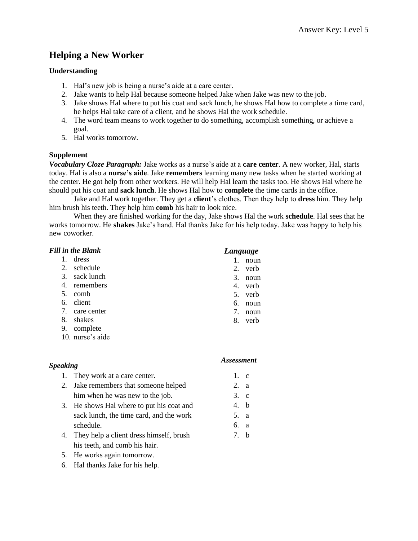# **Helping a New Worker**

#### **Understanding**

- 1. Hal's new job is being a nurse's aide at a care center.
- 2. Jake wants to help Hal because someone helped Jake when Jake was new to the job.
- 3. Jake shows Hal where to put his coat and sack lunch, he shows Hal how to complete a time card, he helps Hal take care of a client, and he shows Hal the work schedule.
- 4. The word team means to work together to do something, accomplish something, or achieve a goal.
- 5. Hal works tomorrow.

#### **Supplement**

*Vocabulary Cloze Paragraph:* Jake works as a nurse's aide at a **care center**. A new worker, Hal, starts today. Hal is also a **nurse's aide**. Jake **remembers** learning many new tasks when he started working at the center. He got help from other workers. He will help Hal learn the tasks too. He shows Hal where he should put his coat and **sack lunch**. He shows Hal how to **complete** the time cards in the office.

Jake and Hal work together. They get a **client**'s clothes. Then they help to **dress** him. They help him brush his teeth. They help him **comb** his hair to look nice.

When they are finished working for the day, Jake shows Hal the work **schedule**. Hal sees that he works tomorrow. He **shakes** Jake's hand. Hal thanks Jake for his help today. Jake was happy to help his new coworker.

#### *Fill in the Blank*

|    |               | $       -$                                |      |
|----|---------------|-------------------------------------------|------|
| 1. | dress         |                                           | noun |
| 2. | schedule      | 2.                                        | verb |
|    | 3. sack lunch | 3.                                        | noun |
| 4. | remembers     | 4.                                        | verb |
| 5. | comb          | 5.                                        | verb |
| 6. | client        | б.                                        | noun |
| 7. | care center   | $7_{\scriptscriptstyle{\ddot{\text{c}}}}$ | noun |
| 8. | shakes        | 8.                                        | verb |
| 9. | complete      |                                           |      |

10. nurse's aide

# *Speaking*

#### *Assessment*

1. c 2. a 3. c 4. b 5. a 6. a 7. b

*Language*

- 1. They work at a care center. 2. Jake remembers that someone helped him when he was new to the job.
- 3. He shows Hal where to put his coat and sack lunch, the time card, and the work schedule.
- 4. They help a client dress himself, brush his teeth, and comb his hair.
- 5. He works again tomorrow.
- 6. Hal thanks Jake for his help.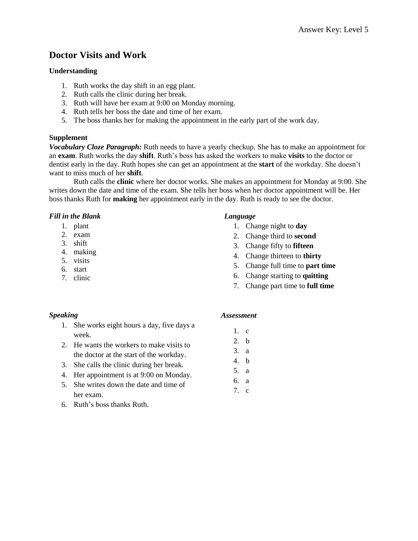# **Doctor Visits and Work**

#### **Understanding**

- 1. Ruth works the day shift in an egg plant.
- 2. Ruth calls the clinic during her break.
- 3. Ruth will have her exam at 9:00 on Monday morning.
- 4. Ruth tells her boss the date and time of her exam.
- 5. The boss thanks her for making the appointment in the early part of the work day.

#### **Supplement**

*Vocabulary Cloze Paragraph:* Ruth needs to have a yearly checkup. She has to make an appointment for an **exam**. Ruth works the day **shift**. Ruth's boss has asked the workers to make **visits** to the doctor or dentist early in the day. Ruth hopes she can get an appointment at the **start** of the workday. She doesn't want to miss much of her **shift**.

Ruth calls the **clinic** where her doctor works. She makes an appointment for Monday at 9:00. She writes down the date and time of the exam. She tells her boss when her doctor appointment will be. Her boss thanks Ruth for **making** her appointment early in the day. Ruth is ready to see the doctor.

#### *Fill in the Blank*

- 1. plant
- 2. exam
- 3. shift
- 4. making
- 5. visits
- 6. start
- 7. clinic

#### *Language*

- 1. Change night to **day**
- 2. Change third to **second**
- 3. Change fifty to **fifteen**
- 4. Change thirteen to **thirty**
- 5. Change full time to **part time**
- 6. Change starting to **quitting**
- 7. Change part time to **full time**

# *Speaking*

- 1. She works eight hours a day, five days a week.
- 2. He wants the workers to make visits to the doctor at the start of the workday.
- 3. She calls the clinic during her break.
- 4. Her appointment is at 9:00 on Monday.
- 5. She writes down the date and time of her exam.
- 6. Ruth's boss thanks Ruth.

- 1. c
- 2. b
- 3. a
- 4. b
- 5. a 6. a
- 7. c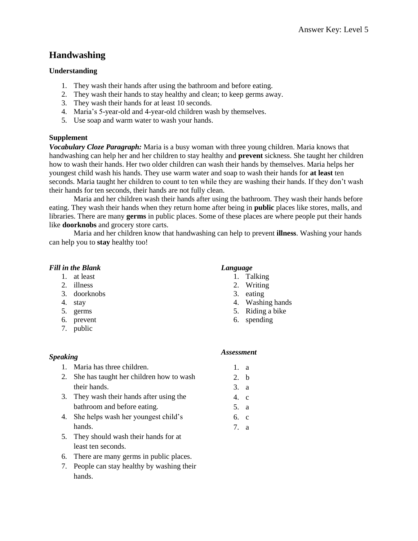# **Handwashing**

## **Understanding**

- 1. They wash their hands after using the bathroom and before eating.
- 2. They wash their hands to stay healthy and clean; to keep germs away.
- 3. They wash their hands for at least 10 seconds.
- 4. Maria's 5-year-old and 4-year-old children wash by themselves.
- 5. Use soap and warm water to wash your hands.

#### **Supplement**

*Vocabulary Cloze Paragraph:* Maria is a busy woman with three young children. Maria knows that handwashing can help her and her children to stay healthy and **prevent** sickness. She taught her children how to wash their hands. Her two older children can wash their hands by themselves. Maria helps her youngest child wash his hands. They use warm water and soap to wash their hands for **at least** ten seconds. Maria taught her children to count to ten while they are washing their hands. If they don't wash their hands for ten seconds, their hands are not fully clean.

Maria and her children wash their hands after using the bathroom. They wash their hands before eating. They wash their hands when they return home after being in **public** places like stores, malls, and libraries. There are many **germs** in public places. Some of these places are where people put their hands like **doorknobs** and grocery store carts.

Maria and her children know that handwashing can help to prevent **illness**. Washing your hands can help you to **stay** healthy too!

#### *Fill in the Blank*

- 1. at least
- 2. illness
- 3. doorknobs
- 4. stay
- 5. germs
- 6. prevent
- 7. public

#### *Language* 1. Talking

- 2. Writing
- 3. eating
- 4. Washing hands
- 5. Riding a bike
- 6. spending

#### *Speaking*

# *Assessment*

1. a 2. b 3. a 4. c 5. a 6. c 7. a

- 1. Maria has three children.
- 2. She has taught her children how to wash their hands.
- 3. They wash their hands after using the bathroom and before eating.
- 4. She helps wash her youngest child's hands.
- 5. They should wash their hands for at least ten seconds.
- 6. There are many germs in public places.
- 7. People can stay healthy by washing their hands.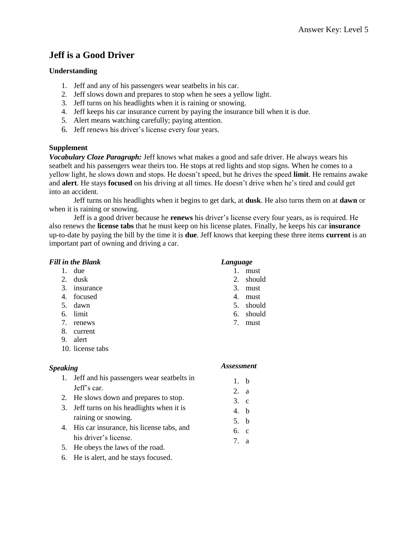# **Jeff is a Good Driver**

## **Understanding**

- 1. Jeff and any of his passengers wear seatbelts in his car.
- 2. Jeff slows down and prepares to stop when he sees a yellow light.
- 3. Jeff turns on his headlights when it is raining or snowing.
- 4. Jeff keeps his car insurance current by paying the insurance bill when it is due.
- 5. Alert means watching carefully; paying attention.
- 6. Jeff renews his driver's license every four years.

#### **Supplement**

*Vocabulary Cloze Paragraph:* Jeff knows what makes a good and safe driver. He always wears his seatbelt and his passengers wear theirs too. He stops at red lights and stop signs. When he comes to a yellow light, he slows down and stops. He doesn't speed, but he drives the speed **limit**. He remains awake and **alert**. He stays **focused** on his driving at all times. He doesn't drive when he's tired and could get into an accident.

Jeff turns on his headlights when it begins to get dark, at **dusk**. He also turns them on at **dawn** or when it is raining or snowing.

Jeff is a good driver because he **renews** his driver's license every four years, as is required. He also renews the **license tabs** that he must keep on his license plates. Finally, he keeps his car **insurance** up-to-date by paying the bill by the time it is **due**. Jeff knows that keeping these three items **current** is an important part of owning and driving a car.

## *Fill in the Blank*

- 1. due
- 2. dusk
- 3. insurance
- 4. focused
- 5. dawn
- 6. limit
- 7. renews
- 8. current
- 9. alert
- 10. license tabs

## *Speaking*

- 1. Jeff and his passengers wear seatbelts in Jeff's car.
- 2. He slows down and prepares to stop.
- 3. Jeff turns on his headlights when it is raining or snowing.
- 4. His car insurance, his license tabs, and his driver's license.
- 5. He obeys the laws of the road.
- 6. He is alert, and he stays focused.

## *Language*

- 1. must
- 2. should
- 3. must
- 4. must
- 5. should
- 6. should
- 7. must

- 1. b
- 2. a
- 3. c
- 4. b
- 5. b
- 6. c
- 7. a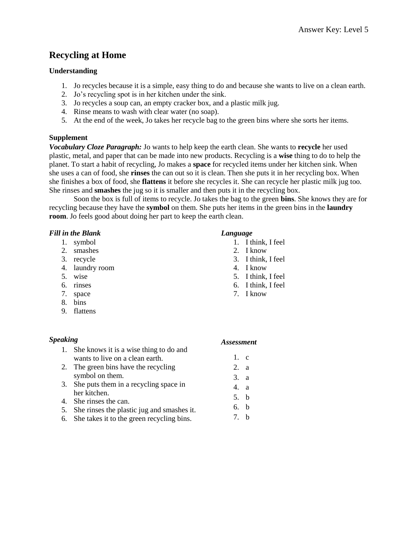# **Recycling at Home**

# **Understanding**

- 1. Jo recycles because it is a simple, easy thing to do and because she wants to live on a clean earth.
- 2. Jo's recycling spot is in her kitchen under the sink.
- 3. Jo recycles a soup can, an empty cracker box, and a plastic milk jug.
- 4. Rinse means to wash with clear water (no soap).
- 5. At the end of the week, Jo takes her recycle bag to the green bins where she sorts her items.

# **Supplement**

*Vocabulary Cloze Paragraph:* Jo wants to help keep the earth clean. She wants to **recycle** her used plastic, metal, and paper that can be made into new products. Recycling is a **wise** thing to do to help the planet. To start a habit of recycling, Jo makes a **space** for recycled items under her kitchen sink. When she uses a can of food, she **rinses** the can out so it is clean. Then she puts it in her recycling box. When she finishes a box of food, she **flattens** it before she recycles it. She can recycle her plastic milk jug too. She rinses and **smashes** the jug so it is smaller and then puts it in the recycling box.

Soon the box is full of items to recycle. Jo takes the bag to the green **bins**. She knows they are for recycling because they have the **symbol** on them. She puts her items in the green bins in the **laundry room**. Jo feels good about doing her part to keep the earth clean.

# *Fill in the Blank*

- 1. symbol
- 2. smashes
- 3. recycle
- 4. laundry room
- 5. wise
- 6. rinses
- 7. space
- 8. bins
- 9. flattens

## *Speaking*

## *Language*

- 1. I think, I feel
- 2. I know
- 3. I think, I feel
- 4. I know
- 5. I think, I feel
- 6. I think, I feel
- 7. I know

| еакіпұ |                                           | Assessme.       |  |
|--------|-------------------------------------------|-----------------|--|
|        | 1. She knows it is a wise thing to do and |                 |  |
|        | wants to live on a clean earth.           | 1. c            |  |
|        | 2. The green bins have the recycling      | 2. a            |  |
|        | symbol on them.                           | $\mathcal{R}$ a |  |

- 3. She puts them in a recycling space in her kitchen.
- 4. She rinses the can.
- 5. She rinses the plastic jug and smashes it.
- 6. She takes it to the green recycling bins.

#### *Assessment*

4. a 5. b 6. b 7. b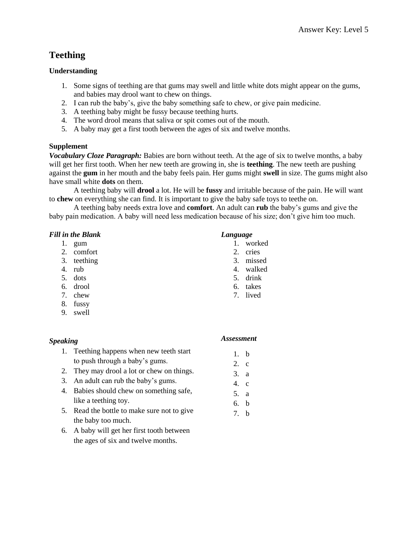# **Teething**

# **Understanding**

- 1. Some signs of teething are that gums may swell and little white dots might appear on the gums, and babies may drool want to chew on things.
- 2. I can rub the baby's, give the baby something safe to chew, or give pain medicine.
- 3. A teething baby might be fussy because teething hurts.
- 4. The word drool means that saliva or spit comes out of the mouth.
- 5. A baby may get a first tooth between the ages of six and twelve months.

# **Supplement**

*Vocabulary Cloze Paragraph:* Babies are born without teeth. At the age of six to twelve months, a baby will get her first tooth. When her new teeth are growing in, she is **teething**. The new teeth are pushing against the **gum** in her mouth and the baby feels pain. Her gums might **swell** in size. The gums might also have small white **dots** on them.

A teething baby will **drool** a lot. He will be **fussy** and irritable because of the pain. He will want to **chew** on everything she can find. It is important to give the baby safe toys to teethe on.

A teething baby needs extra love and **comfort**. An adult can **rub** the baby's gums and give the baby pain medication. A baby will need less medication because of his size; don't give him too much.

#### *Fill in the Blank*

- 1. gum
- 2. comfort
- 3. teething
- 4. rub
- 5. dots
- 6. drool
- 7. chew
- 8. fussy
- 9. swell

## *Speaking*

#### *Language* 1. worked

- 2. cries
- 3. missed
- 4. walked
- 5. drink
- 6. takes
- 7. lived

1. b 2. c 3. a 4. c 5. a 6. b 7. b

# 1. Teething happens when new teeth start to push through a baby's gums. *Assessment*

- 2. They may drool a lot or chew on things.
- 3. An adult can rub the baby's gums.
- 4. Babies should chew on something safe, like a teething toy.
- 5. Read the bottle to make sure not to give the baby too much.
- 6. A baby will get her first tooth between the ages of six and twelve months.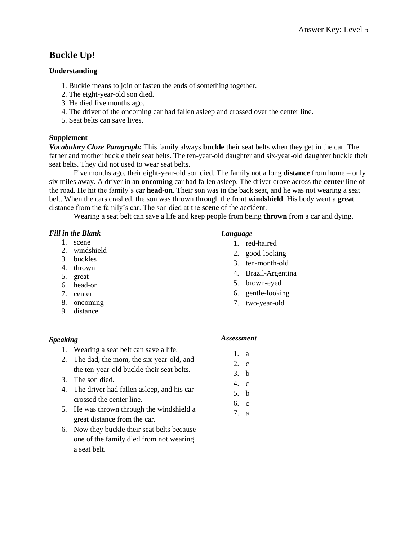# **Buckle Up!**

#### **Understanding**

- 1. Buckle means to join or fasten the ends of something together.
- 2. The eight-year-old son died.
- 3. He died five months ago.
- 4. The driver of the oncoming car had fallen asleep and crossed over the center line.
- 5. Seat belts can save lives.

#### **Supplement**

*Vocabulary Cloze Paragraph:* This family always **buckle** their seat belts when they get in the car. The father and mother buckle their seat belts. The ten-year-old daughter and six-year-old daughter buckle their seat belts. They did not used to wear seat belts.

Five months ago, their eight-year-old son died. The family not a long **distance** from home – only six miles away. A driver in an **oncoming** car had fallen asleep. The driver drove across the **center** line of the road. He hit the family's car **head-on**. Their son was in the back seat, and he was not wearing a seat belt. When the cars crashed, the son was thrown through the front **windshield**. His body went a **great** distance from the family's car. The son died at the **scene** of the accident.

Wearing a seat belt can save a life and keep people from being **thrown** from a car and dying.

#### *Fill in the Blank*

- 1. scene
- 2. windshield
- 3. buckles
- 4. thrown
- 5. great
- 6. head-on
- 7. center
- 8. oncoming
- 9. distance

## *Speaking*

- 1. Wearing a seat belt can save a life.
- 2. The dad, the mom, the six-year-old, and the ten-year-old buckle their seat belts.
- 3. The son died.
- 4. The driver had fallen asleep, and his car crossed the center line.
- 5. He was thrown through the windshield a great distance from the car.
- 6. Now they buckle their seat belts because one of the family died from not wearing a seat belt.

#### *Language*

- 1. red-haired
- 2. good-looking
- 3. ten-month-old
- 4. Brazil-Argentina
- 5. brown-eyed
- 6. gentle-looking
- 7. two-year-old

#### *Assessment*

1. a 2. c

- 3. b
- 4. c
- 5. b
- 6. c
- 7. a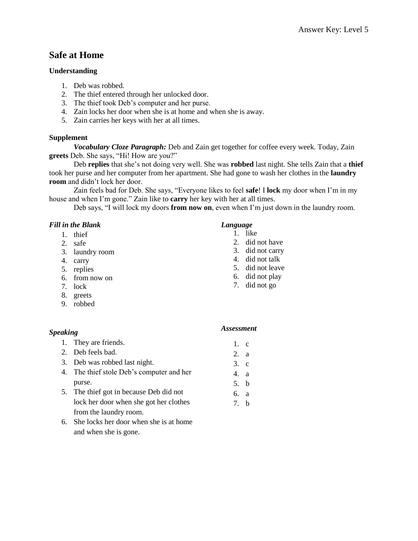# **Safe at Home**

# **Understanding**

- 1. Deb was robbed.
- 2. The thief entered through her unlocked door.
- 3. The thief took Deb's computer and her purse.
- 4. Zain locks her door when she is at home and when she is away.
- 5. Zain carries her keys with her at all times.

## **Supplement**

*Vocabulary Cloze Paragraph:* Deb and Zain get together for coffee every week. Today, Zain **greets** Deb. She says, "Hi! How are you?"

Deb **replies** that she's not doing very well. She was **robbed** last night. She tells Zain that a **thief** took her purse and her computer from her apartment. She had gone to wash her clothes in the **laundry room** and didn't lock her door.

Zain feels bad for Deb. She says, "Everyone likes to feel **safe**! I **lock** my door when I'm in my house and when I'm gone." Zain like to **carry** her key with her at all times.

Deb says, "I will lock my doors **from now on**, even when I'm just down in the laundry room.

| <b>Fill in the Blank</b> |                            |                   | Language     |  |
|--------------------------|----------------------------|-------------------|--------------|--|
| 1.                       | thief                      |                   | like         |  |
| 2.                       | safe                       | 2.                | did not h    |  |
| 3.                       | laundry room               | 3.                | did not c    |  |
| 4.                       | carry                      | 4.                | did not t    |  |
| 5.                       | replies                    | 5.                | did not le   |  |
| 6.                       | from now on                | 6.                | did not p    |  |
| 7.                       | lock                       | 7.                | did not g    |  |
| 8.                       | greets                     |                   |              |  |
| 9.                       | robbed                     |                   |              |  |
| <b>Speaking</b>          |                            | <b>Assessment</b> |              |  |
| 1.                       | They are friends.          | 1.                | $\mathbf{c}$ |  |
| 2.                       | Deb feels bad.             | 2.                | a            |  |
| 3.                       | Deb was robbed last night. | 3.                | $\mathbf c$  |  |

- 4. The thief stole Deb's computer and her purse.
- 5. The thief got in because Deb did not lock her door when she got her clothes from the laundry room.
- 6. She locks her door when she is at home and when she is gone.

- ave
- arry
- alk
- eave
- olay
- $30<sub>g</sub>$

4. a 5. b 6. a 7. b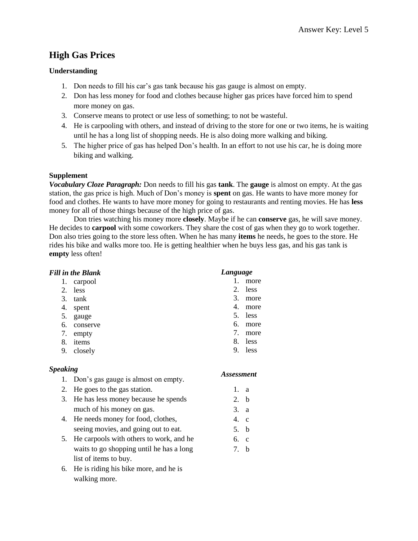# **High Gas Prices**

# **Understanding**

- 1. Don needs to fill his car's gas tank because his gas gauge is almost on empty.
- 2. Don has less money for food and clothes because higher gas prices have forced him to spend more money on gas.
- 3. Conserve means to protect or use less of something; to not be wasteful.
- 4. He is carpooling with others, and instead of driving to the store for one or two items, he is waiting until he has a long list of shopping needs. He is also doing more walking and biking.
- 5. The higher price of gas has helped Don's health. In an effort to not use his car, he is doing more biking and walking.

# **Supplement**

*Vocabulary Cloze Paragraph:* Don needs to fill his gas **tank**. The **gauge** is almost on empty. At the gas station, the gas price is high. Much of Don's money is **spent** on gas. He wants to have more money for food and clothes. He wants to have more money for going to restaurants and renting movies. He has **less** money for all of those things because of the high price of gas.

Don tries watching his money more **closely**. Maybe if he can **conserve** gas, he will save money. He decides to **carpool** with some coworkers. They share the cost of gas when they go to work together. Don also tries going to the store less often. When he has many **items** he needs, he goes to the store. He rides his bike and walks more too. He is getting healthier when he buys less gas, and his gas tank is **empty** less often!

|                       | <b>Fill in the Blank</b>                 | Language          |              |
|-----------------------|------------------------------------------|-------------------|--------------|
| 1.                    | carpool                                  | $\mathbf{1}$      | more         |
| 2.                    | less                                     | 2.                | less         |
| 3.                    | tank                                     | 3.                | more         |
| 4.                    | spent                                    | 4.                | more         |
| 5.                    | gauge                                    | 5.                | less         |
| 6.                    | conserve                                 | 6.                | more         |
| 7.                    | empty                                    | 7.                | more         |
| 8.                    | items                                    | 8.                | less         |
| 9.                    | closely                                  | 9.                | less         |
| <b>Speaking</b><br>1. | Don's gas gauge is almost on empty.      | <b>Assessment</b> |              |
| 2.                    | He goes to the gas station.              | 1.                | a            |
| 3.                    | He has less money because he spends      | 2.                | b            |
|                       | much of his money on gas.                | 3.                | a            |
| 4.                    | He needs money for food, clothes,        | 4.                | $\mathbf{C}$ |
|                       | seeing movies, and going out to eat.     | 5.                | b            |
| 5.                    | He carpools with others to work, and he  | 6.                | $\mathbf{c}$ |
|                       | waits to go shopping until he has a long | 7.                | b            |
|                       | list of items to buy.                    |                   |              |

6. He is riding his bike more, and he is walking more.